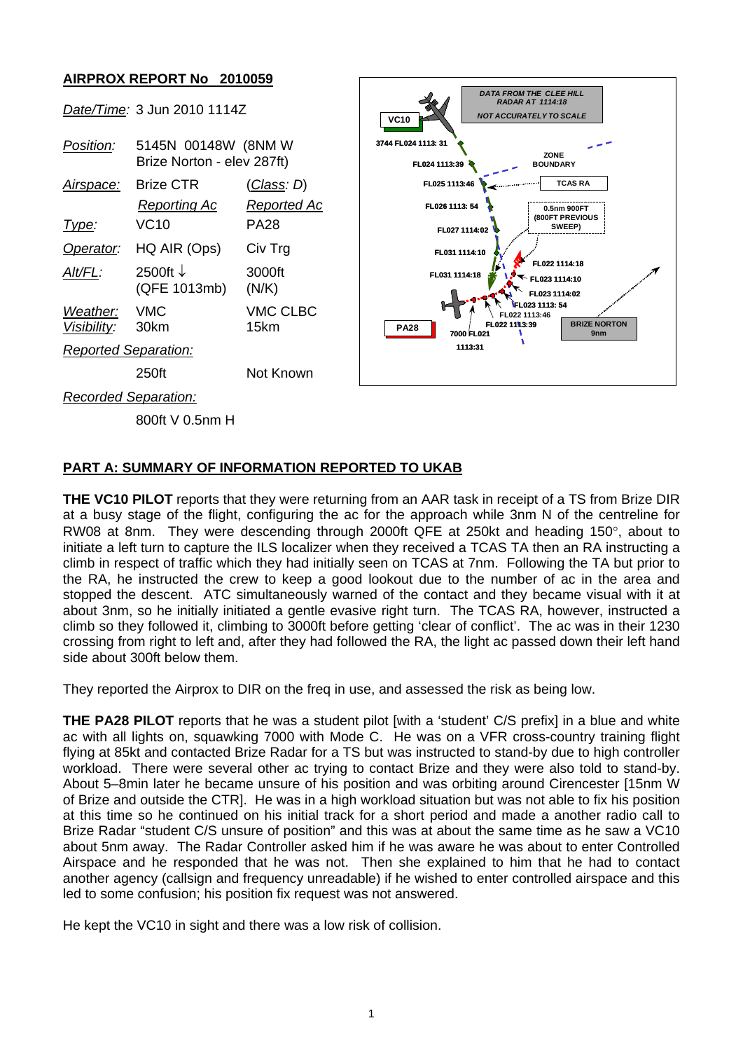## **AIRPROX REPORT No 2010059**



## **PART A: SUMMARY OF INFORMATION REPORTED TO UKAB**

**THE VC10 PILOT** reports that they were returning from an AAR task in receipt of a TS from Brize DIR at a busy stage of the flight, configuring the ac for the approach while 3nm N of the centreline for RW08 at 8nm. They were descending through 2000ft QFE at 250kt and heading 150°, about to initiate a left turn to capture the ILS localizer when they received a TCAS TA then an RA instructing a climb in respect of traffic which they had initially seen on TCAS at 7nm. Following the TA but prior to the RA, he instructed the crew to keep a good lookout due to the number of ac in the area and stopped the descent. ATC simultaneously warned of the contact and they became visual with it at about 3nm, so he initially initiated a gentle evasive right turn. The TCAS RA, however, instructed a climb so they followed it, climbing to 3000ft before getting 'clear of conflict'. The ac was in their 1230 crossing from right to left and, after they had followed the RA, the light ac passed down their left hand side about 300ft below them.

They reported the Airprox to DIR on the freq in use, and assessed the risk as being low.

**THE PA28 PILOT** reports that he was a student pilot [with a 'student' C/S prefix] in a blue and white ac with all lights on, squawking 7000 with Mode C. He was on a VFR cross-country training flight flying at 85kt and contacted Brize Radar for a TS but was instructed to stand-by due to high controller workload. There were several other ac trying to contact Brize and they were also told to stand-by. About 5–8min later he became unsure of his position and was orbiting around Cirencester [15nm W of Brize and outside the CTR]. He was in a high workload situation but was not able to fix his position at this time so he continued on his initial track for a short period and made a another radio call to Brize Radar "student C/S unsure of position" and this was at about the same time as he saw a VC10 about 5nm away. The Radar Controller asked him if he was aware he was about to enter Controlled Airspace and he responded that he was not. Then she explained to him that he had to contact another agency (callsign and frequency unreadable) if he wished to enter controlled airspace and this led to some confusion; his position fix request was not answered.

He kept the VC10 in sight and there was a low risk of collision.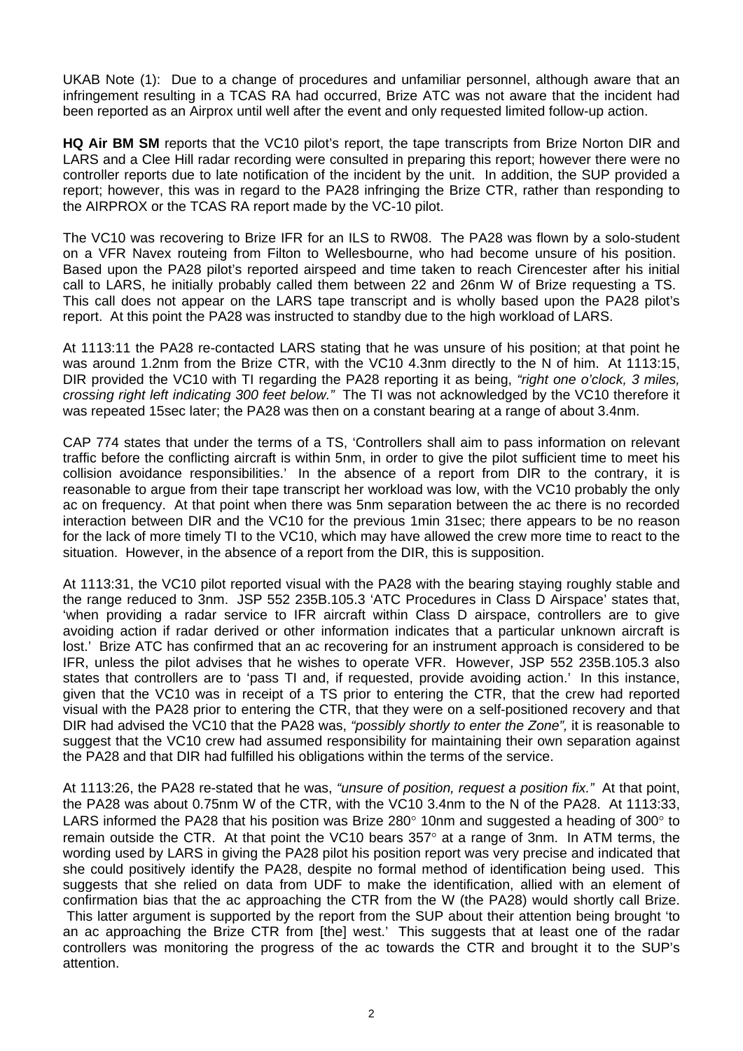UKAB Note (1): Due to a change of procedures and unfamiliar personnel, although aware that an infringement resulting in a TCAS RA had occurred, Brize ATC was not aware that the incident had been reported as an Airprox until well after the event and only requested limited follow-up action.

**HQ Air BM SM** reports that the VC10 pilot's report, the tape transcripts from Brize Norton DIR and LARS and a Clee Hill radar recording were consulted in preparing this report; however there were no controller reports due to late notification of the incident by the unit. In addition, the SUP provided a report; however, this was in regard to the PA28 infringing the Brize CTR, rather than responding to the AIRPROX or the TCAS RA report made by the VC-10 pilot.

The VC10 was recovering to Brize IFR for an ILS to RW08. The PA28 was flown by a solo-student on a VFR Navex routeing from Filton to Wellesbourne, who had become unsure of his position. Based upon the PA28 pilot's reported airspeed and time taken to reach Cirencester after his initial call to LARS, he initially probably called them between 22 and 26nm W of Brize requesting a TS. This call does not appear on the LARS tape transcript and is wholly based upon the PA28 pilot's report. At this point the PA28 was instructed to standby due to the high workload of LARS.

At 1113:11 the PA28 re-contacted LARS stating that he was unsure of his position; at that point he was around 1.2nm from the Brize CTR, with the VC10 4.3nm directly to the N of him. At 1113:15, DIR provided the VC10 with TI regarding the PA28 reporting it as being, *"right one o'clock, 3 miles, crossing right left indicating 300 feet below."* The TI was not acknowledged by the VC10 therefore it was repeated 15sec later; the PA28 was then on a constant bearing at a range of about 3.4nm.

CAP 774 states that under the terms of a TS, 'Controllers shall aim to pass information on relevant traffic before the conflicting aircraft is within 5nm, in order to give the pilot sufficient time to meet his collision avoidance responsibilities.' In the absence of a report from DIR to the contrary, it is reasonable to argue from their tape transcript her workload was low, with the VC10 probably the only ac on frequency. At that point when there was 5nm separation between the ac there is no recorded interaction between DIR and the VC10 for the previous 1min 31sec; there appears to be no reason for the lack of more timely TI to the VC10, which may have allowed the crew more time to react to the situation. However, in the absence of a report from the DIR, this is supposition.

At 1113:31, the VC10 pilot reported visual with the PA28 with the bearing staying roughly stable and the range reduced to 3nm. JSP 552 235B.105.3 'ATC Procedures in Class D Airspace' states that, 'when providing a radar service to IFR aircraft within Class D airspace, controllers are to give avoiding action if radar derived or other information indicates that a particular unknown aircraft is lost.' Brize ATC has confirmed that an ac recovering for an instrument approach is considered to be IFR, unless the pilot advises that he wishes to operate VFR. However, JSP 552 235B.105.3 also states that controllers are to 'pass TI and, if requested, provide avoiding action.' In this instance, given that the VC10 was in receipt of a TS prior to entering the CTR, that the crew had reported visual with the PA28 prior to entering the CTR, that they were on a self-positioned recovery and that DIR had advised the VC10 that the PA28 was, *"possibly shortly to enter the Zone",* it is reasonable to suggest that the VC10 crew had assumed responsibility for maintaining their own separation against the PA28 and that DIR had fulfilled his obligations within the terms of the service.

At 1113:26, the PA28 re-stated that he was, *"unsure of position, request a position fix."* At that point, the PA28 was about 0.75nm W of the CTR, with the VC10 3.4nm to the N of the PA28. At 1113:33, LARS informed the PA28 that his position was Brize 280° 10nm and suggested a heading of 300° to remain outside the CTR. At that point the VC10 bears 357° at a range of 3nm. In ATM terms, the wording used by LARS in giving the PA28 pilot his position report was very precise and indicated that she could positively identify the PA28, despite no formal method of identification being used. This suggests that she relied on data from UDF to make the identification, allied with an element of confirmation bias that the ac approaching the CTR from the W (the PA28) would shortly call Brize. This latter argument is supported by the report from the SUP about their attention being brought 'to an ac approaching the Brize CTR from [the] west.' This suggests that at least one of the radar controllers was monitoring the progress of the ac towards the CTR and brought it to the SUP's attention.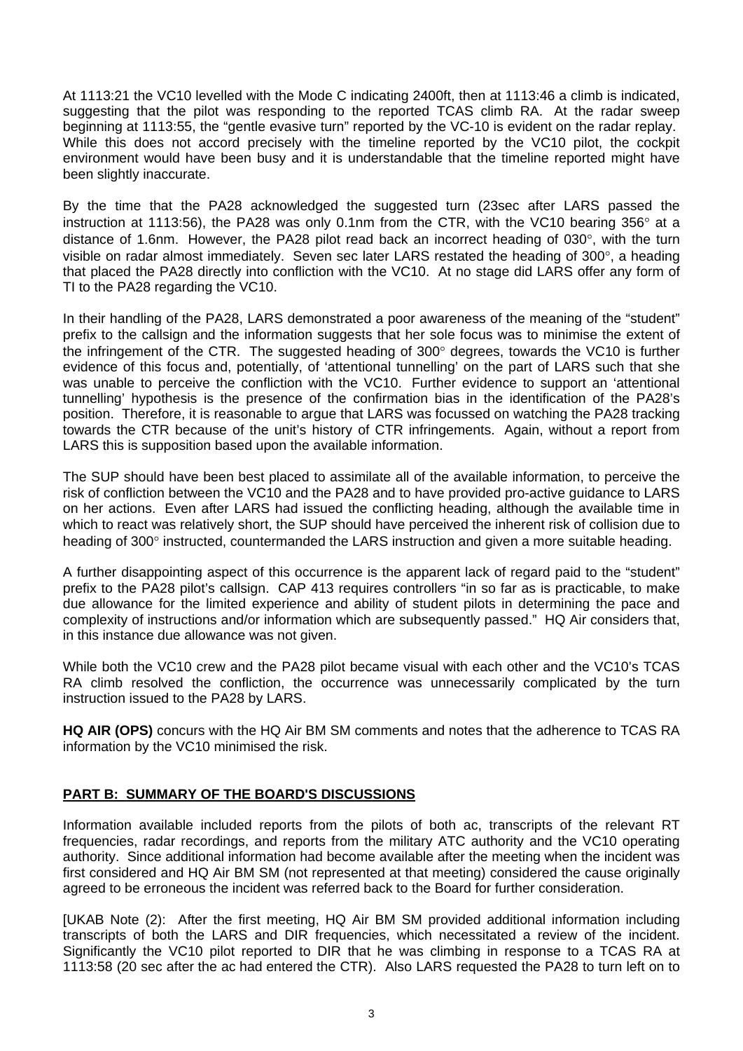At 1113:21 the VC10 levelled with the Mode C indicating 2400ft, then at 1113:46 a climb is indicated, suggesting that the pilot was responding to the reported TCAS climb RA. At the radar sweep beginning at 1113:55, the "gentle evasive turn" reported by the VC-10 is evident on the radar replay. While this does not accord precisely with the timeline reported by the VC10 pilot, the cockpit environment would have been busy and it is understandable that the timeline reported might have been slightly inaccurate.

By the time that the PA28 acknowledged the suggested turn (23sec after LARS passed the instruction at 1113:56), the PA28 was only 0.1nm from the CTR, with the VC10 bearing 356° at a distance of 1.6nm. However, the PA28 pilot read back an incorrect heading of 030°, with the turn visible on radar almost immediately. Seven sec later LARS restated the heading of 300°, a heading that placed the PA28 directly into confliction with the VC10. At no stage did LARS offer any form of TI to the PA28 regarding the VC10.

In their handling of the PA28, LARS demonstrated a poor awareness of the meaning of the "student" prefix to the callsign and the information suggests that her sole focus was to minimise the extent of the infringement of the CTR. The suggested heading of 300° degrees, towards the VC10 is further evidence of this focus and, potentially, of 'attentional tunnelling' on the part of LARS such that she was unable to perceive the confliction with the VC10. Further evidence to support an 'attentional tunnelling' hypothesis is the presence of the confirmation bias in the identification of the PA28's position. Therefore, it is reasonable to argue that LARS was focussed on watching the PA28 tracking towards the CTR because of the unit's history of CTR infringements. Again, without a report from LARS this is supposition based upon the available information.

The SUP should have been best placed to assimilate all of the available information, to perceive the risk of confliction between the VC10 and the PA28 and to have provided pro-active guidance to LARS on her actions. Even after LARS had issued the conflicting heading, although the available time in which to react was relatively short, the SUP should have perceived the inherent risk of collision due to heading of 300° instructed, countermanded the LARS instruction and given a more suitable heading.

A further disappointing aspect of this occurrence is the apparent lack of regard paid to the "student" prefix to the PA28 pilot's callsign. CAP 413 requires controllers "in so far as is practicable, to make due allowance for the limited experience and ability of student pilots in determining the pace and complexity of instructions and/or information which are subsequently passed." HQ Air considers that, in this instance due allowance was not given.

While both the VC10 crew and the PA28 pilot became visual with each other and the VC10's TCAS RA climb resolved the confliction, the occurrence was unnecessarily complicated by the turn instruction issued to the PA28 by LARS.

**HQ AIR (OPS)** concurs with the HQ Air BM SM comments and notes that the adherence to TCAS RA information by the VC10 minimised the risk.

## **PART B: SUMMARY OF THE BOARD'S DISCUSSIONS**

Information available included reports from the pilots of both ac, transcripts of the relevant RT frequencies, radar recordings, and reports from the military ATC authority and the VC10 operating authority. Since additional information had become available after the meeting when the incident was first considered and HQ Air BM SM (not represented at that meeting) considered the cause originally agreed to be erroneous the incident was referred back to the Board for further consideration.

[UKAB Note (2): After the first meeting, HQ Air BM SM provided additional information including transcripts of both the LARS and DIR frequencies, which necessitated a review of the incident. Significantly the VC10 pilot reported to DIR that he was climbing in response to a TCAS RA at 1113:58 (20 sec after the ac had entered the CTR). Also LARS requested the PA28 to turn left on to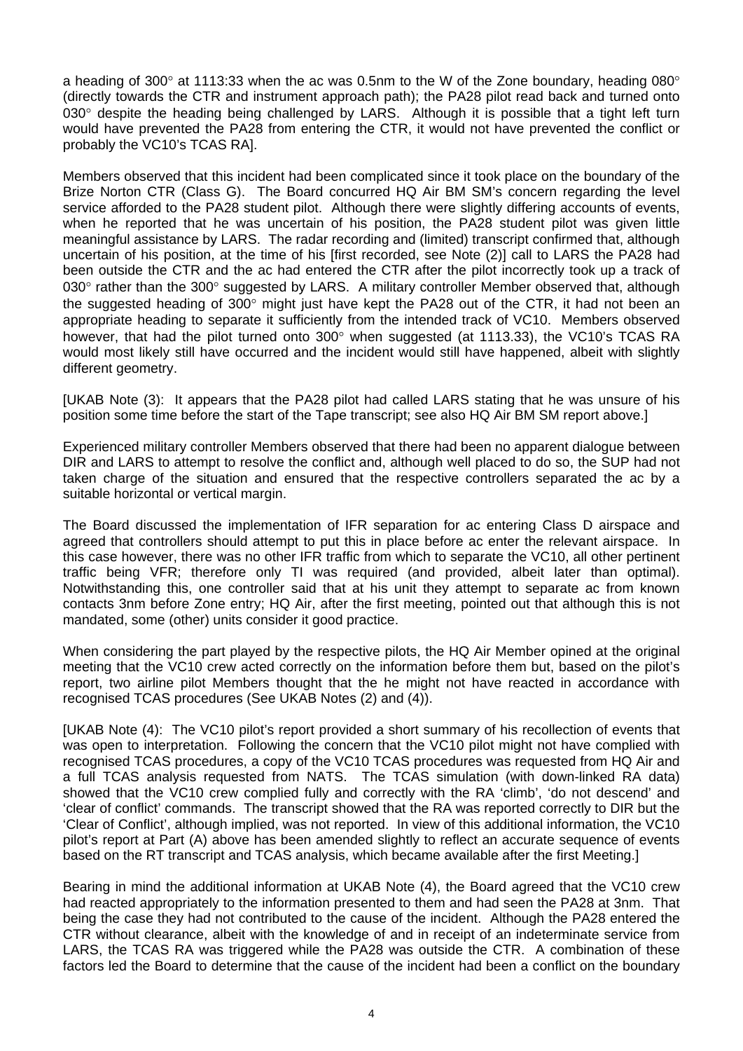a heading of 300 $^{\circ}$  at 1113:33 when the ac was 0.5nm to the W of the Zone boundary, heading 080 $^{\circ}$ (directly towards the CTR and instrument approach path); the PA28 pilot read back and turned onto 030° despite the heading being challenged by LARS. Although it is possible that a tight left turn would have prevented the PA28 from entering the CTR, it would not have prevented the conflict or probably the VC10's TCAS RA].

Members observed that this incident had been complicated since it took place on the boundary of the Brize Norton CTR (Class G). The Board concurred HQ Air BM SM's concern regarding the level service afforded to the PA28 student pilot. Although there were slightly differing accounts of events, when he reported that he was uncertain of his position, the PA28 student pilot was given little meaningful assistance by LARS. The radar recording and (limited) transcript confirmed that, although uncertain of his position, at the time of his [first recorded, see Note (2)] call to LARS the PA28 had been outside the CTR and the ac had entered the CTR after the pilot incorrectly took up a track of 030° rather than the 300° suggested by LARS. A military controller Member observed that, although the suggested heading of 300° might just have kept the PA28 out of the CTR, it had not been an appropriate heading to separate it sufficiently from the intended track of VC10. Members observed however, that had the pilot turned onto 300° when suggested (at 1113.33), the VC10's TCAS RA would most likely still have occurred and the incident would still have happened, albeit with slightly different geometry.

[UKAB Note (3): It appears that the PA28 pilot had called LARS stating that he was unsure of his position some time before the start of the Tape transcript; see also HQ Air BM SM report above.]

Experienced military controller Members observed that there had been no apparent dialogue between DIR and LARS to attempt to resolve the conflict and, although well placed to do so, the SUP had not taken charge of the situation and ensured that the respective controllers separated the ac by a suitable horizontal or vertical margin.

The Board discussed the implementation of IFR separation for ac entering Class D airspace and agreed that controllers should attempt to put this in place before ac enter the relevant airspace. In this case however, there was no other IFR traffic from which to separate the VC10, all other pertinent traffic being VFR; therefore only TI was required (and provided, albeit later than optimal). Notwithstanding this, one controller said that at his unit they attempt to separate ac from known contacts 3nm before Zone entry; HQ Air, after the first meeting, pointed out that although this is not mandated, some (other) units consider it good practice.

When considering the part played by the respective pilots, the HQ Air Member opined at the original meeting that the VC10 crew acted correctly on the information before them but, based on the pilot's report, two airline pilot Members thought that the he might not have reacted in accordance with recognised TCAS procedures (See UKAB Notes (2) and (4)).

[UKAB Note (4): The VC10 pilot's report provided a short summary of his recollection of events that was open to interpretation. Following the concern that the VC10 pilot might not have complied with recognised TCAS procedures, a copy of the VC10 TCAS procedures was requested from HQ Air and a full TCAS analysis requested from NATS. The TCAS simulation (with down-linked RA data) showed that the VC10 crew complied fully and correctly with the RA 'climb', 'do not descend' and 'clear of conflict' commands. The transcript showed that the RA was reported correctly to DIR but the 'Clear of Conflict', although implied, was not reported. In view of this additional information, the VC10 pilot's report at Part (A) above has been amended slightly to reflect an accurate sequence of events based on the RT transcript and TCAS analysis, which became available after the first Meeting.]

Bearing in mind the additional information at UKAB Note (4), the Board agreed that the VC10 crew had reacted appropriately to the information presented to them and had seen the PA28 at 3nm. That being the case they had not contributed to the cause of the incident. Although the PA28 entered the CTR without clearance, albeit with the knowledge of and in receipt of an indeterminate service from LARS, the TCAS RA was triggered while the PA28 was outside the CTR. A combination of these factors led the Board to determine that the cause of the incident had been a conflict on the boundary